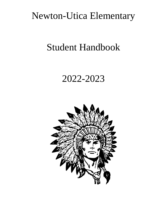# Newton-Utica Elementary

# Student Handbook

# 2022-2023

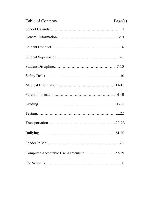| <b>Table of Contents</b>               | Page(s) |
|----------------------------------------|---------|
|                                        |         |
|                                        |         |
|                                        |         |
|                                        |         |
|                                        |         |
|                                        |         |
|                                        |         |
|                                        |         |
|                                        |         |
|                                        |         |
|                                        |         |
|                                        |         |
|                                        |         |
| Computer Acceptable Use Agreement27-29 |         |
|                                        |         |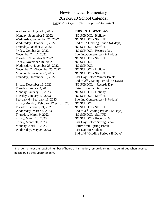# Newton- Utica Elementary 2022-2023 School Calendar *167 Student Days (Board Approved 3-21-2022)*

Wednesday, August17, 2022 **FIRST STUDENT DAY** Monday, September 5, 2022 NO SCHOOL- Holiday Wednesday, September 21, 2022 NO SCHOOL- Staff PD Wednesday, October 19, 2022 End of 1<sup>st</sup> Grading Period (44 days) Thursday, October 20 2022 NO SCHOOL- Staff PD Friday, October 21, 2022 NO SCHOOL- Records Day November  $7 - 17$ , 2022 Evening Conferences  $(2 - \frac{1}{2})$  days) Tuesday, November 8, 2022 NO SCHOOL- Staff PD Friday, November 18, 2022 NO SCHOOL Wednesday, November 23, 2022 NO SCHOOL November 24-November 25, 2022 NO SCHOOL- Holiday Monday, November 28, 2022 NO SCHOOL- Staff PD Thursday, December 15, 2022 Last Day Before Winter Break Friday, December 16, 2022 NO SCHOOL – Records Day Tuesday, January 3, 2023 Return from Winter Break Monday, January 16, 2023 NO SCHOOL- Holiday Tuesday, January 17, 2023 NO SCHOOL- Staff PD February 6 - February 16, 2023 Evening Conferences (2-  $\frac{1}{2}$  days) Friday-Monday, February 17  $& 20, 2023$  NO SCHOOL Tuesday, February 21, 2023 NO SCHOOL- Staff PD Wednesday, March 8, 2023 End of 3<sup>rd</sup> Grading Period (42 Days) Thursday, March 9, 2023 NO SCHOOL- Staff PD Friday, March 10, 2023 NO SCHOOL- Records Day

End of 2nd Grading Period (33 Days) Friday, March 31, 2023 Last Day Before Spring Break Monday, April 10 2023 Return from Spring Break Wednesday, May 24, 2023 Last Day for Students End of 4th Grading Period (48 Days)

In order to meet the required number of hours of instruction, remote learning may be utilized when deemed necessary by the superintendent.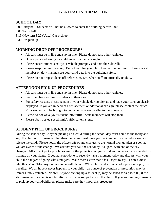# **GENERAL INFORMATION**

# **SCHOOL DAY**

9:00 Entry bell- Students will not be allowed to enter the building before 9:00 9:08 Tardy bell 3:15 (Newton) 3:20 (Utica) Car pick up 3:30 Bus pick up

# **MORNING DROP OFF PROCEDURES**

- All cars must be in line and stay in line. Please do not pass other vehicles.
- Do not park and send your children across the parking lot.
- Please ensure students exit your vehicle promptly and onto the sidewalk.
- Please keep the lines moving. Do not wait for your child to enter the building. There is a staff member on duty making sure your child gets into the building safely.
- Please do not drop students off before 8:55 a.m. when staff are officially on duty.

# **AFTERNOON PICK UP PROCEDURES**

- All cars must be in line and stay in line. Please do not pass other vehicles.
- Staff members will assist students in their cars.
- For safety reasons, please remain in your vehicle during pick up and have your car sign clearly displayed. If you are in need of a replacement or additional car sign, please contact the office. Your student will be brought to you when you are parallel to the sidewalk.
- Please do not wave your student into traffic. Staff members will stop them.
- Please obey posted speed limit/traffic pattern signs.

# **STUDENT PICK UP PROCEDURES**

During the school day: Anyone picking up a child during the school day must come to the lobby and sign the child out. Someone other than the parent must have your written permission before we can release the child. Please notify the office staff of any changes to the normal pick up plan as soon as you are aware of the change. We ask that you call the school by 2:45 p.m. with end of the day changes. All student pick-up policies are for the protection of your child and in no way are intended to infringe on your rights. If you have not done so recently, take a moment today and discuss with your child the dangers of going with strangers. Make them aware that it is all right to say, "I don't know who this is" or "Mommy said not to go with them." While child abduction is not a pleasant topic, it is a reality. We all hope it never happens to your child: an ounce of prevention or precaution may be immeasurably valuable. **\*Note:** Anyone picking up a student (s) may be asked for a photo ID, if the staff member involved is not familiar with the person picking up the child. If you are sending someone to pick up your child/children, please make sure they know this procedure.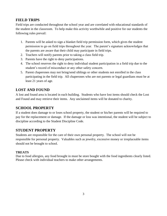# **FIELD TRIPS**

Field trips are conducted throughout the school year and are correlated with educational standards of the student in the classroom. To help make this activity worthwhile and positive for our students the following rules prevail:

- 1. Parents will be asked to sign a blanket field trip permission form, which gives the student permission to go on field trips throughout the year. The parent's signature acknowledges that the parents are aware that their child may participate in field trips.
- 2. Teachers will notify parents prior to taking a class field trip.
- 3. Parents have the right to deny participations.
- 4. The school reserves the right to deny individual student participation in a field trip due to the student's record of misconduct or any other safety concern.
- 5. Parent chaperones may not bring/send siblings or other students not enrolled in the class participating in the field trip. All chaperones who are not parents or legal guardians must be at least 21 years of age.

# **LOST AND FOUND**

A lost and found area is located in each building. Students who have lost items should check the Lost and Found and may retrieve their items. Any unclaimed items will be donated to charity.

# **SCHOOL PROPERTY**

If a student does damage to or loses school property, the student or his/her parents will be required to pay for the replacement or damage. If the damage or loss was intentional, the student will be subject to discipline according to the Student Discipline Code.

# **STUDENT PROPERTY**

Students are responsible for the care of their own personal property. The school will not be responsible for personal property. Valuables such as jewelry, excessive money or irreplaceable items should not be brought to school.

#### **TREATS**

Due to food allergies, any food brought in must be store bought with the food ingredients clearly listed. Please check with individual teachers to make other arrangements.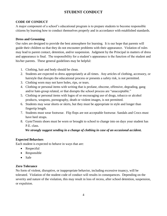# **STUDENT CONDUCT**

#### **CODE OF CONDUCT**

A major component of a school's educational program is to prepare students to become responsible citizens by learning how to conduct themselves properly and in accordance with established standards.

#### **Dress and Grooming**

Our rules are designed to provide the best atmosphere for learning. It is our hope that parents will guide their children so that they do not encounter problems with their appearance. Violation of rules may lead to parent contact, detention, and/or suspension. Judgment by the Principal in matters of dress and appearance is final. The responsibility for a student's appearance is the function of the student and his/her parents. These general guidelines may be helpful:

- 1. Clothing, hair and body should be clean.
- 2. Students are expected to dress appropriately at all times. Any articles of clothing, accessory, or hairstyle that disrupts the educational process or presents a safety risk, is not permitted.
- 3. Clothing worn may not have holes, rips, or tears.
- 4. Clothing or personal items with writing that is profane, obscene, offensive, degrading, gang and/or hate-group related, or that disrupts the school process are "unacceptable."
- 5. Clothing or personal items with logos of or encouraging use of drugs, tobacco or alcohol products, weapons, pornography, death or violent images, is not permitted.
- 6. Students may wear shorts or skirts, but they must be appropriate in style and longer than fingertip length.
- 7. Students must wear footwear. Flip flops are not acceptable footwear. Sandals and Crocs must have heel straps.
- 8. Gym/Tennis shoes must be worn or brought to school to change into on days your student has P.E. class.

#### *We strongly suggest sending in a change of clothing in case of an occasional accident.*

#### **Expected Behaviors**

Each student is expected to behave in ways that are:

- Respectful
- Responsible
- Safe

#### **Zero Tolerance**

No form of violent, disruptive, or inappropriate behavior, including excessive truancy, will be tolerated. Violation of the student code of conduct will results in consequences. Depending on the severity and nature of the violation, this may result in loss of recess, after school detention, suspension, or expulsion.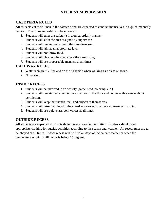# **STUDENT SUPERVISION**

# **CAFETERIA RULES**

All students eat their lunch in the cafeteria and are expected to conduct themselves in a quiet, mannerly fashion. The following rules will be enforced:

- 1. Students will enter the cafeteria in a quiet, orderly manner.
- 2. Students will sit in the area assigned by supervisor.
- 3. Students will remain seated until they are dismissed.
- 4. Students will talk at an appropriate level.
- 5. Students will not throw food.
- 6. Students will clean up the area where they are sitting.
- 7. Students will use proper table manners at all times.

# **HALLWAY RULES**

- 1. Walk in single file line and on the right side when walking as a class or group.
- 2. No talking.

# **INSIDE RECESS**

- 1. Students will be involved in an activity (game, read, coloring, etc.)
- 2. Students will remain seated either on a chair or on the floor and not leave this area without permission.
- 3. Students will keep their hands, feet, and objects to themselves.
- 4. Students will raise their hand if they need assistance from the staff member on duty.
- 5. Students will use quiet classroom voices at all times.

# **OUTSIDE RECESS**

All students are expected to go outside for recess, weather permitting. Students should wear appropriate clothing for outside activities according to the season and weather. All recess rules are to be obeyed at all times. Indoor recess will be held on days of inclement weather or when the temperature or wind chill factor is below 15 degrees.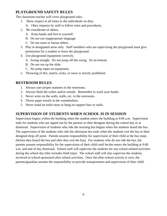# **PLAYGROUND SAFETY RULES**

The classroom teacher will cover playground rules.

- 1. Show respect at all times to the individuals on duty.
	- A. Obey requests by staff to follow rules and procedures.
- 2. Be considerate of others.
	- A. Keep hands and feet to yourself.
	- B. Do not use inappropriate language.
	- C. Do not tease or harass others.
- 3. Play in designated areas only. Staff members who are supervising the playground must give permission for a student to leave the playground.
- 4. Use playground equipment correctly.
	- A. Swing straight. Do not jump off the swing. Sit on bottom.
	- B. Do not run up the slide.
	- C. No jump ropes on equipment.
- 5. Throwing of dirt, mulch, rocks, or snow is strictly prohibited.

#### **RESTROOM RULES**

- 1. Always user proper manners in the restrooms.
- 2. Always flush the toilets and/or urinals. Remember to wash your hands.
- 3. Never write on the walls, stalls, etc. in the restrooms.
- 4. Throw paper towels in the wastebaskets.
- 5. Never stand on toilet seats or hang on support bars or stalls.

# **SUPERVISION OF STUDENTS WHEN SCHOOL IS IN SESSION**

Supervision begins within the building when the student enters the building at 9:00 a.m. Supervision ends for students who are signed out by the parents or their designee during the school day or at dismissal. Supervision of students who ride the morning bus begins when the students board the bus. The supervision of the students who ride the afternoon bus ends when the students exit the bus to their designed drop off point. Parents assume responsibility for supervision of their child at the bus stops (before they board the bus and after they exit the bus). For students who do not ride the bus, the parents assume responsibility for the supervision of their child until he/she enters the building at 9:00 a.m. and end of day dismissal. School staff will supervise the students for any school-related activities during the school day (this includes field trips). The school staff will also supervise the students involved in school-sponsored after school activities. Once the after-school activity is over, the parents/guardian assume the responsibility to provide transportation and supervision of their child.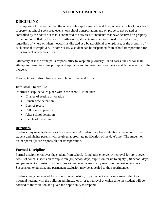# **STUDENT DISCIPLINE**

# **DISCIPLINE**

It is important to remember that the school rules apply going to and from school, at school, on school property, at school-sponsored events, on school transportation, and on property not owned or controlled by the board but that is connected to activities or incidents that have occurred on property owned or controlled by the board. Furthermore, students may be disciplined for conduct that, regardless of where or when it occurs, is directed at a board official or employee, or the property of such official or employee. In some cases, a student can be suspended from school transportation for infractions of school bus rules.

Ultimately, it is the principal's responsibility to keep things orderly. In all cases, the school shall attempt to make discipline prompt and equitable and to have the consequence match the severity of the incident.

Two (2) types of discipline are possible, informal and formal.

# **Informal Discipline**

Informal discipline takes place within the school. It includes:

- Change of seating or location
- Lunch-time detention
- Loss of recess
- Call home to parents
- After school detention
- In-school discipline

#### **Detentions**

Students may receive detentions from recesses. A student may have detention after school. The student and his/her parents will be given appropriate notification of the date/time. The student or his/her parent(s) are responsible for transportation.

# **Formal Discipline**

Formal discipline removes the student from school. It includes emergency removal for up to seventytwo (72) hours, suspension for up to ten (10) school days, expulsion for up to eighty (80) school days, and permanent exclusion. Suspensions and expulsions may carry over into the next school year. Suspension, expulsion, and permanent exclusion may be appealed to the superintendent

Students being considered for suspension, expulsion, or permanent exclusions are entitled to an informal hearing with the building administrator prior to removal at which time the student will be notified of the violation and given the opportunity to respond.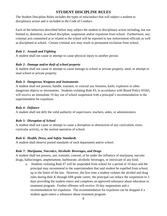### **STUDENT DISCIPLINE RULES**

The Student Discipline Rules includes the types of misconduct that will subject a student to disciplinary action and is included in the Code of Conduct.

Each of the behaviors described below may subject the student to disciplinary action including, but not limited to, detention, in-school discipline, suspension and/or expulsion from school. Furthermore, any criminal acts committed at or related to the school will be reported to law enforcement officials as well as disciplined at school. Certain criminal acts may result in permanent exclusion from school.

#### *Rule 1: Assault and Fighting*

A student shall not cause or attempt to cause physical injury to another person.

#### *Rule 2: Damage and/or theft of school property*

A student shall not cause or attempt to cause damage to school or private property, steal, or attempt to steal school or private property.

#### *Rule 3: Dangerous Weapons and Instruments*

A student shall not possess, handle, transmit, or conceal any firearms, knife, explosive or other dangerous objects or instruments. Students violating Rule #3, in accordance with Board Policy #5565, will receive an immediate 10 day out of school suspension with a principal's recommendation to the superintendent for expulsion.

#### *Rule 4: Defiance*

A student shall not defy the valid authority of supervisors, teachers, aides, or administrators.

#### *Rule 5: Disruption of School*

A student shall not cause or attempt to cause a disruption or obstruction of any curriculum, extracurricular activity, or the normal operation of school.

#### *Rule 6: Health, Dress, and Safety Standards*

A student shall observe posted standards of each department and/or school.

#### *Rule 7: Marijuana, Narcotics, Alcoholic Beverages, and Drugs*

A student shall not possess, use, transmit, conceal, or be under the influence of marijuana, narcotic drugs, hallucinogen, amphetamine, barbiturate, alcoholic beverages, or intoxicant of any kind.

a. Students violating Rule #7 will be suspended from school for a period of 10 days and the principal may recommend to the superintendent that said student be expelled from school, up to the limits of the law. However, the first time a student violates the alcohol and drug rules during their K through fifth grade career, the principal can reduce the suspension to 3 days providing the student enters and completes an approved substance abuse education or treatment program. Further offenses will receive 10-day suspensions and a recommendation for expulsion. The recommendation for expulsion can be dropped if a student again enters a substance abuse treatment program.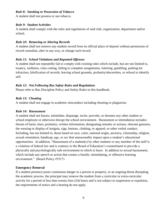#### *Rule 8: Smoking or Possession of Tobacco*

A student shall not possess or use tobacco.

#### *Rule 9: Student Activities*

A student shall comply with the rules and regulations of said club, organization, department and/or school.

#### *Rule 10: Removing or Altering Records*

A student shall not remove any student record from its official place of deposit without permission of record custodian, alter in any way, or change such record.

#### *Rule 11: School Violations and Repeated Offenses*

A student shall not repeatedly fail to comply with existing rules which include, but are not limited to, truancy, tardiness, class cutting, failing to complete assignments, loitering, gambling, parking lot infraction, falsification of records, leaving school grounds, profanity/obscenities, or refusal to identify self.

#### *Rule 12: Not Following Bus Safety Rules and Regulations*

Please refer to Bus Discipline Policy and Safety Rules in this handbook.

#### *Rule 13: Cheating*

A student shall not engage in academic misconduct including cheating or plagiarism.

#### *Rule 14: Harassment*

A student shall not harass, intimidate, disparage, incite, provoke, or threaten any other student or school employee or otherwise disrupt the school environment. Harassment or intimidation includes: threats of harm; slurs; profanity; written information; denigrating remarks or actions; obscene gestures; the wearing or display of insignia, sign, buttons, clothing, or apparel; or other verbal conduct. Including, but not limited to, those based on race, color, national origin, ancestry, citizenship, religion, sexual orientation, handicap, age, or sex that unreasonably impact upon a student's educational opportunities. In addition, "Harassment of a student(s) by other students or any member of the staff is a violation of federal law and is contrary to the Board of Education's commitment to provide a physically and psychologically safe environment in which to learn. In addition to sexual harassment, which include any speech or action that creates a hostile, intimidating, or offensive learning environment." (Board Policy #5517)

#### **Emergency Removal**

If a student presence poses continuous danger to a person or property, or an ongoing threat disrupting the academic process, the principal may remove the student from a curricular or extra-curricular activity for a period of less than twenty-four (24) hours and is not subject to suspension or expulsion, the requirements of notice and a hearing do not apply.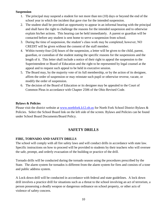#### **Suspension**

- 1. The principal may suspend a student for not more than ten (10) days or beyond the end of the school year in which the incident that gave rise for the intended suspension.
- 2. The student shall be provided an opportunity to appear in an informal hearing with the principal and shall have the right to challenge the reasons for the intended suspension and to otherwise explain his/her actions. This hearing can be held immediately. A parent or guardian will be contacted before any student is sent home to serve a suspension from school.
- 3. During the time of suspension, the student's class work may be completed; however, NO CREDIT will be given without the consent of the staff member.
- 4. Within twenty-four (24) hours of the suspension, a letter will be given to the child, parent, guardian, or custodian of the student stating the specific reasons for the suspensions and the length of it. This letter shall include a notice of their right to appeal the suspension to the Superintendent or Board of Education and the right to be represented by legal counsel at the appeal and to request such appeal to be held in executive session.
- 5. The Board may, by the majority vote of its full membership, or by the action of its designee, affirm the order of suspension or may reinstate such pupil or otherwise reverse, vacate, or modify the order of suspension.
- 6. The decision of the Board of Education or its designee may be appealed to the Court of Common Pleas in accordance with Chapter 2506 of the Ohio Revised Code.

#### **Bylaws & Policies**

Please visit the district website at [www.northfork.k12.oh.us](http://www.northfork.k12.oh.us/) for North Fork School District Bylaws & Policies. Select the School Board link on the left side of the screen. Bylaws and Policies can be found under School Board Documents/Board Policy.

# **SAFETY DRILLS**

#### **FIRE, TORNADO AND SAFETY DRILLS**

The school will comply with all fire safety laws and will conduct drills in accordance with state law. Specific instructions on how to proceed will be provided to students by their teachers who will oversee the safe, prompt, and orderly evacuation of the building or practice of the drill.

Tornado drills will be conducted during the tornado season using the procedures prescribed by the State. The alarm system for tornados is different from the alarm system for fires and consists of a tone and public address system.

A Lock down drill will be conducted in accordance with federal and state guidelines. A lock down drill involves a practice drill for situations such as a threat to the school involving an act of terrorism, a person possessing a deadly weapon or dangerous ordinance on school property, or other acts of violence of safety concern.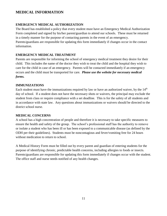# **MEDICAL INFORMATION**

#### **EMERGENCY MEDICAL AUTHORIZATION**

The Board has established a policy that every student must have an Emergency Medical Authorization Form completed and signed by his/her parent/guardian to attend our schools. These must be returned in a timely manner for the purpose of contacting parents in the event of an emergency. Parents/guardians are responsible for updating this form immediately if changes occur in the contact information.

#### **EMERGENCY MEDICAL TREATMENT**

Parents are responsible for informing the school of emergency medical treatment they desire for their child. This includes the name of the doctor they wish to treat the child and the hospital they wish to care for the child in case of an emergency. Parents will be contacted immediately if an emergency occurs and the child must be transported for care. *Please use the website for necessary medical forms.*

#### **IMMUNIZATIONS**

Each student must have the immunizations required by law or have an authorized waiver, by the  $14<sup>th</sup>$ day of school. If a student does not have the necessary shots or waivers, the principal may exclude the student from class or require compliance with a set deadline. This is for the safety of all students and in accordance with state law. Any questions about immunizations or waivers should be directed to the district school nurse.

#### **MEDICAL CONCERNS**

A school has a high concentration of people and therefore it is necessary to take specific measures to ensure the health and safety of the group. The school's professional staff has the authority to remove or isolate a student who has been ill or has been exposed to a communicable disease (as defined by the ODH per their guidelines). Students must be noncontagious and fever/vomiting free for 24 hours without medication to return to school.

A Medical History Form must be filled out by every parent and guardian of entering students for the purpose of identifying chronic, predictable health concerns, including allergies to foods or insects. Parents/guardians are responsible for updating this form immediately if changes occur with the student. The office staff and nurse needs notified of any health changes.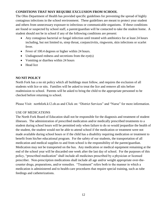#### **CONDITIONS THAT MAY REQUIRE EXCLUSION FROM SCHOOL**

The Ohio Department of Health has provided specific guidelines for preventing the spread of highly contagious infections in the school environment. These guidelines are meant to protect your student and others from unnecessary exposure to infectious or communicable organisms. If these conditions are found or suspected by school staff, a parent/guardian will be contacted to take the student home. A student should not be in school if any of the following conditions are present:

- Any contagious bacterial or fungal infection until treated with antibiotics for at least 24 hours including, but not limited to, strep throat, conjunctivitis, ringworm, skin infections or scarlet fever.
- Fever of 100.4 degrees or higher within 24 hours.
- Undiagnosed redness and secretions from the eye(s)
- Vomiting or diarrhea within 24 hours
- Head lice

#### **NO NIT POLICY**

North Fork has a no nit policy which all buildings must follow, and requires the exclusion of all students with lice or nits. Families will be asked to treat the lice and remove all nits before readmission to school. Parents will be asked to bring the child to the appropriate personnel to be checked before returning to school.

Please Visit: northfork.k12.oh.us and Click on: "District Services" and "Nurse" for more information.

#### USE OF MEDICATIONS

The North Fork Board of Education shall not be responsible for the diagnosis and treatment of student illnesses. The administration of prescribed medication and/or medically prescribed treatments to a student during school hours will be permitted only when failure to do so would jeopardize the health of the student, the student would not be able to attend school if the medication or treatment were not made available during school hours or if the child has a disability requiring medication or treatment to benefit from his/her educational program. For the safety of our students, the transportation of all medication and medical supplies to and from school is the responsibility of the parent/guardian. Medication may not be transported on the bus. Any medication or medical equipment remaining at the end of the school year will be discarded one week after the last day of school. For the purposes of this policy, "prescribed medication" shall include all medicines prescribed by a physician or licensed prescriber. Non-prescription medications shall include all age and/or weight appropriate over-thecounter drugs, preparations, and/or remedies. "Treatment" refers both to the manner in which a medication is administered and to health-care procedures that require special training, such as tube feedings and catheterizations.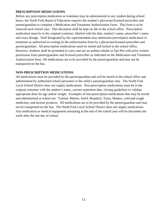#### **PRESCRIPTION MEDICATIONS**

Before any prescription medication or treatment may be administered to any student during school hours, the North Fork Board of Education requires the student's physician/licensed prescriber and parent/guardian to complete a Medication and Treatment Authorization Form. This form is to be renewed each school year. This document shall be kept on file in the school office. Prescription medication must be in the original container, labeled with the date, student's name, prescriber's name and exact dosage. Staff designated by the superintendent may administer prescription medication or treatment as authorized in writing on the authorization form by a physician/licensed prescriber and parent/guardian. All prescription medications must be stored and locked in the school office. However, students shall be permitted to carry and use an asthma inhaler or Epi-Pen with prior written permission from parent/guardian and licensed prescriber as indicated on the Medication and Treatment Authorization form. All medications are to be provided by the parent/guardian and may not be transported on the bus.

#### **NON-PRESCRIPTION MEDICATIONS**

All medications must be provided by the parent/guardian and will be stored in the school office and administered by authorized school personnel or the child's parent/guardian only. The North Fork Local School District does not supply medications. Non-prescription medications must be in the original container with the student's name, current expiration date, closing guidelines to validate appropriate dose for age and/or weight. Examples of non-prescription medications that may be stored and administered at school are: Tylenol, Motrin, Advil, Benadryl, Tums, Maalox, cold and cough medicines, and lactose products. All medications are to be provided by the parent/guardian and may not be transported on the bus. The North Fork Local School District does not supply medications. Any medication or medical equipment remaining at the end of the school year will be discarded one week after the last day of school.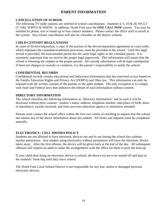# **PARENT INFORMATION**

#### **CANCELLATION OF SCHOOL**

The following TV/radio stations are notified of school cancellations: channels 4, 6, 10 & 28, WCLT (T-100), WMVO & WHTH. In addition, North Fork uses the *ONE CALL NOW* system. You may be notified by phone, text or email up to four contact numbers. Please contact the office staff to enroll in the system. Any school cancellation will also be viewable on the district website.

#### **CHILD CUSTODY REGULATIONS**

In cases of divorce/separation, a copy of the portion of the decree/separation agreement or court order, which stipulates the custodial/residential provisions, must be provided to the school. Until this legal record is provided, the noncustodial parent has the same legal rights as the custodial parent. It is extremely important that we receive the proper legal paperwork. This information will assure that the school is releasing the student to the proper person. All custody information will be kept confidential. If there are changes in custody or visitation, it is the parent's responsibility to notify the school.

#### **CONFIDENTIAL RECORDS**

Confidential records contain educational and behavioral information that has restricted access based on the Family Education Rights and Privacy Act (FERPA) and Ohio law. This information can only be released with the written consent of the parents or the adult student. The only exception is to comply with State and Federal laws that authorize the release of such information without consent.

#### **DIRECTORY INFORMATION**

The school classifies the following information as "directory information" and as such it will be disclosed without prior consent: student's name, address, telephone number, date/place of birth, dates of attendance, awards received, and most previous education agency or institution attended.

Parents must contact the school office within the first two weeks of enrolling to request that the school not release any of the above information about the student. All forms and requests must be completed annually.

#### **ELECTRONICS / CELL PHONES POLICY**

Students are not allowed to have electronic devices out and in use during the school day without teacher permission. Any student using electronics without permission will have the electronic device taken away. After the first offense, the device will be given back at the end of the day. All subsequent offenses will require an adult to make the arrangements with the office for them to pick the item up.

If your child does bring an electronic device to school, the device (s) are to be turned off and kept in the students' book bag until they leave school.

The North Fork Local School District is not responsible for any lost, stolen or damaged personal electronic devices.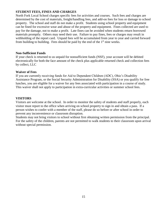#### **STUDENT FEES, FINES AND CHARGES**

North Fork Local School charges specific fees for activities and courses. Such fees and charges are determined by the cost of materials, freight/handling fees, and add-on fees for loss or damage to school property. The school and staff do not make a profit. Students using school property and equipment can be fined for excessive wear and abuse of the property and equipment. Fines collected are used to pay for the damage, not to make a profit. Late fines can be avoided when students return borrowed materials promptly. Others may need their use. Failure to pay fines, fees or charges may result in withholding of the report card. Unpaid fees will be accumulated from year to year and carried forward from building to building. Fees should be paid by the end of the  $1<sup>st</sup>$  nine weeks.

#### **Non-Sufficient Funds**

If your check is returned to us unpaid for nonsufficient funds (NSF), your account will be debited electronically for both the face amount of the check plus applicable returned check and collection fees by collect, LLC

#### **Waiver of Fees**

If you are currently receiving funds for Aid to Dependent Children (ADC), Ohio's Disability Assistance Program, or the Social Security Administration for Disability (SSA) or you qualify for free lunches, you are eligible for a waiver for any fees associated with participation in a course of study. This waiver shall not apply to participation in extra-curricular activities or summer school fees.

#### **VISITORS**

Visitors are welcome at the school. In order to monitor the safety of students and staff properly, each visitor must report to the office when arriving on school property to sign in and obtain a pass. If a person wishes to confer with a member of the staff, please do so before or after school in order to prevent any inconvenience or classroom disruption.

Students may not bring visitors to school without first obtaining written permission from the principal. For the safety of the children, parents are not permitted to walk students to their classroom upon arrival without special permission.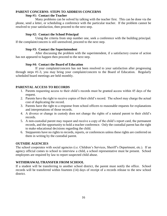#### **PARENT CONCERNS- STEPS TO ADDRESS CONCERNS**

#### **Step #1: Contact the Teacher**

Many problems can be solved by talking with the teacher first. This can be done via the phone, send a letter, or scheduling a conference with the particular teacher. If the problem cannot be resolved to your satisfaction, then proceed to the next step.

#### **Step #2: Contact the School Principal**

Using the criteria from step number one, seek a conference with the building principal. If the complaint/concern is still unresolved, proceed to the next step.

#### **Step #3: Contact the Superintendent**

After discussing the problem with the superintendent, if a satisfactory course of action has not appeared to happen then proceed to the next step.

#### **Step #4: Contact the Board of Education**

If your complaint/concern has not been resolved to your satisfaction after progressing through steps #1-3, you may bring your complaint/concern to the Board of Education. Regularly scheduled board meetings are held monthly.

#### **PARENTAL ACCESS TO RECORDS**

- 1. Parents requesting access to their child's records must be granted access within 45 days of the request.
- 2. Parents have the right to receive copies of their child's record. The school may charge the actual cost of duplicating the record.
- 3. Parents have the right to a response from school officers to reasonable requests for explanations and interpretations of those records.
- 4. A divorce or change in custody does not change the rights of a natural parent to their child's records.
- 5. A non-custodial parent may request and receive a copy of the child's report card, the permanent records, and the opportunity to hold a teacher conference. Only the custodial parent has the right to make educational decisions regarding the child.
- 6. Stepparents have no rights to records, reports, or conferences unless these rights are conferred on them in writing by the custodial parent.

#### **OUTSIDE AGENCIES**

The school cooperates with social agencies (i.e. Children's Services, Sheriff's Department, etc.). If an agency official comes to school to interview a child, a school representative must be present. School employees are required by law to report suspected child abuse.

#### **WITHDRAWAL/TRANSFER FROM SCHOOL**

If a student will be transferring to another school district, the parent must notify the office. School records will be transferred within fourteen (14) days of receipt of a records release to the new school district.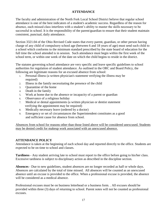#### **ATTENDANCE**

The faculty and administration of the North Fork Local School District believe that regular school attendance is one of the best indicators of a student's academic success. Regardless of the reason for absence, each missed class interferes with a student's ability to master the skills necessary to be successful in school. It is the responsibility of the parent/guardian to ensure that their student maintain consistent, punctual, daily attendance.

Section 3321.04 of the Ohio Revised Code states that every parent, guardian, or other person having charge of any child of compulsory school age (between 6 and 18 years of age) must send such child to a school which conforms to the minimum standard prescribed by the state board of education for the full time the school attended is in session. Such attendance must begin within the first week of the school term, or within one week of the date on which the child begins to reside in the district.

The statutes governing school attendance are very specific and leave specific guidelines to school authorities for regulation of student attendance. As outlined in the ORC and Board Policy, the following are legitimate reasons for an excused absence from school:

- 1. Personal illness (a written physician's statement verifying the illness may be required)
- 2. Illness in the family necessitating the presence of the child
- 3. Quarantine of the home
- 4. Death in the family
- 5. Work at home due to the absence or incapacity of a parent or guardian
- 6. Observance of a religious holiday
- 7. Medical or dental appointments (a written physician or dentist statement verifying the appointment may be required)
- 8. Medically necessary leave (ordered by a doctor)
- 9. Emergency or set of circumstances the Superintendent constitutes as a good and sufficient cause for absence from school.

Absences from school for reasons other than those listed above will be considered unexcused. Students may be denied credit for makeup work associated with an unexcused absence.

#### **ATTENDANCE POLICY**

Attendance is taken at the beginning of each school day and reported directly to the office. Students are expected to be on time to school and classes.

**Tardiness** - Any student arriving late to school must report to the office before going to his/her class. Excessive tardiness is subject to disciplinary action as described in the discipline section.

**Absences** - Due to new guidelines, student absences are no longer recorded as half or whole days. Absences are calculated by the total of time missed. All absences will be counted as an unexcused absence until an excuse is provided to the office. When a professional excuse is provided, the absence will be considered as a medical absence.

Professional excuses must be on business letterhead or a business form. . All excuses should be provided within three (3) days of returning to school. Parent notes will not be counted as professional excuses.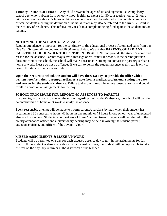**Truancy** – **"Habitual Truant"** - Any child between the ages of six and eighteen, i.e. compulsory school age, who is absent from school without legitimate excuse for 30 consecutive hours, 42 hours within a school month, or 72 hours within one school year, will be referred to the county attendance officer. Students meeting the definition of habitual truant may also be referred to the Juvenile Court in their county of residence. This referral may result in a complaint being filed against the student and/or parents.

#### **NOTIFYING THE SCHOOL OF ABSENCES**

Regular attendance is important for the continuity of the educational process. Automated calls from our One Call System will go out around 10:00 am each day. We ask that **PARENTS/GUARDIANS CALL THE SCHOOL WHEN THEIR STUDENT IS ABSENT** and provide the student's name and reason for the absence. Parents may leave a message on voicemail if needed. If the parent/guardian does not contact the school, the school will make a reasonable attempt to contact the parent/guardian at home or work. Please do not be offended if we call to verify the student absence as this call is only to ensure the student's location and safety.

**Upon their return to school, the student will have three (3) days to provide the office with a written note from their parent/guardian or a note from a medical professional stating the date and reason for the student's absence.** Failure to do so will result in an unexcused absence and could result in zeroes on all assignments for the day.

#### **SCHOOL PROCEDURE FOR REPORTING ABSENCES TO PARENTS**

If a parent/guardian fails to contact the school regarding their student's absence, the school will call the parent/guardian at home or at work to verify the absence.

Every reasonable attempt will be made to inform parents/guardians by mail when their student has accumulated 30 consecutive hours, 42 hours in one month, or 72 hours in one school year of unexcused absence from school. Students who meet any of these "habitual truant" triggers will be referred to the county attendance officer and a diversionary hearing may be held involving the student, parent, attendance officer, and officer of the Juvenile Court.

#### **MISSED ASSIGNMENTS & MAKE-UP WORK**

Students will be permitted one day for each excused absence day to turn in the assignments for full credit. If the student is absent on a day in which a test is given, the student will be responsible to take the test on the day they return or at the discretion of the teacher.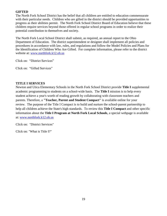#### **GIFTED**

The North Fork School District has the belief that all children are entitled to education commensurate with their particular needs. Children who are gifted in the district should be provided opportunities to progress as their abilities permit. The North Fork School District Board of Education believe that these children require services beyond those offered in regular school programs in order to realize their potential contribution to themselves and society.

The North Fork Local School District shall submit, as required, an annual report to the Ohio Department of Education. The district superintendent or designee shall implement all policies and procedures in accordance with law, rules, and regulations and follow the Model Policies and Plans for the Identification of Children Who Are Gifted. For complete information, please refer to the district website at: [www.northfork.k12.oh.us](http://www.northfork.k12.oh.us/)

Click on: "District Services"

Click on: "Gifted Services"

#### **TITLE I SERVICES**

Newton and Utica Elementary Schools in the North Fork School District provide **Title I** supplemental academic programming to students on a school-wide basis. The **Title I** mission is to help every student achieve a year's worth of reading growth by collaborating with classroom teachers and parents. Therefore, a **"Teacher, Parent and Student Compact"** is available online for your review. The purpose of the Title I Compact is to build and nurture the school-parent partnership to help all children achieve the State's high standards. To review this **Title I Compact** and other specific information about the **Title I Program at North Fork Local Schools**, a special webpage is available at: [www.northfork.k12.oh.us](http://www.northfork.k12.oh.us/)

Click on: "District Services"

Click on: "What is Title I?"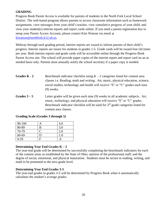#### **GRADING**

Progress Book Parent Access is available for parents of students in the North Fork Local School District. The web-based program allows parents to access classroom information such as homework assignments, view messages from your child's teacher, view cumulative progress of your child, and view your student(s) interim reports and report cards online. If you need a parent registration key to setup your Parent Access Account, please contact Kim Watson via email at [klwatson@northfork.k12.oh.us.](mailto:klwatson@northfork.k12.oh.us)

Midway through each grading period, interim reports are issued to inform parents of their child's progress. Interim reports are issues for students in grades 1-5. Grade cards will be issued four (4) times per year. Both interim reports and grade cards will be accessible online through the Progress Book Parent Access site. The school will provide paper copies of the interim report and report card on an as needed basis only. Parents must annually notify the school secretary if a paper copy is needed.

- **Grades K 2** Benchmark indicator checklist using  $K 2$  categories listed for content area classes i.e. Reading, math and writing. Art, music, physical education, science, social studies, technology and health will receive "S" or "U" grades each nine (9) weeks.
- Grades  $3 5$  Letter grades will be given each nine (9) weeks in all academic subjects. Art, music, technology, and physical education will receive "S" or "U" grades. Benchmark indicator checklist will be used for  $3<sup>rd</sup>$  grade categories listed for content area classes.

#### **Grading Scale (Grades 3 through 5)**

| 90-100   | Α | 4.0 |
|----------|---|-----|
| 80-89    | B | 3.0 |
| 70-79    |   | 2.0 |
| 60-69    | D | 1.0 |
| $0 - 59$ | F |     |

#### **Determining Year End Grades K – 2**

The year-end grade will be determined by successfully completing the benchmark indicators for each of the content areas as established by the State of Ohio; opinion of the professional staff; and the degree of social, emotional, and physical maturation. Students must be secure in reading, writing, and math to be promoted to the next grade level.

#### **Determining Year End Grades 3-5**

The year-end grades in grades 3-5 will be determined by Progress Book when it automatically calculates the student's average grades.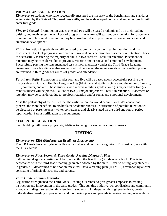#### **PROMOTION AND RETENTION**

*Kindergarten* students who have successfully mastered the majority of the benchmarks and standards as indicated by the State of Ohio readiness skills, and have developed both social and emotionally will enter first grade.

*First and Second*-Promotion in grades one and two will be based predominantly on their reading, writing, and math assessments. Lack of progress in one area will warrant consideration for placement or retention. Placement or retention may be considered due to previous retention and/or social and emotional development.

*Third-* Promotion in grade three will be based predominantly on their reading, writing, and math assessments. Lack of progress in one area will warrant consideration for placement or retention. Lack of successfully mastering the majority of skills in two areas will result in retention. Placement or retention may be considered due to previous retention and/or social and emotional development. Successfully passing the state mandated tests is now mandatory under the Third Grade Reading Guarantee. State law dictates that students who do not meet the requirements of the Reading portion are retained in third grade regardless of grades and attendance.

*Fourth and Fifth-* Promotion in grades four and five will be based upon successfully passing the major subjects of, math, English Language Arts (ELA), social studies, science and the minor of, music, P.E., computer, and art. Those students who receive a failing grade in one (1) major and/or two (2) minor subjects will be placed. Failure of two (2) major subjects will result in retention. Placement or retention may be considered due to previous retention and/or social and emotional development.

\*It is the philosophy of the district that the earlier retention would occur in a child's educational process, the more beneficial to his/her later academic success. Notification of possible retention will be discussed at parent/teacher winter conferences and clearly stated on the third and fourth period report cards. Parent notification is a requirement.

#### **STUDENT RECOGNITION**

Each building will have a program/guidelines to recognize student accomplishments.

#### **TESTING**

#### *Kindergarten- KRA (Kindergarten Readiness Assessment)*

The KRA tests basic entry-level skills such as letter and number recognition. This test is given within the  $1<sup>st</sup>$  six weeks.

#### *Kindergarten, First, Second & Third Grade- Reading Diagnostic Plan*

Fall reading diagnostic testing will be given within the first thirty (30) days of school. This is in accordance with the third grade reading guarantee adopted by the state. After screening, any students in grades K-3 determined to be "not on track" will have a reading plan (R.I.M.P.) developed by a team consisting of principal, teachers, and parents.

#### *Third Grade Reading Guarantee*

Legislation strengthened the Third Grade Reading Guarantee to give greater emphasis to reading instruction and intervention in the early grades. Through this initiative, school districts and community schools will diagnose reading deficiencies in students in kindergarten through grade three, create individualized reading improvement and monitoring plans and provide intensive reading interventions.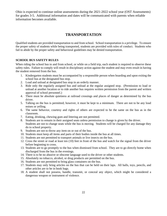Ohio is expected to continue online assessments during the 2021-2022 school year (OST Assessments) for grades 3-5. Additional information and dates will be communicated with parents when reliable information becomes available.

# **TRANSPORTATION**

Qualified students are provided transportation to and from school. School transportation is a privilege. To ensure the proper safety of students while being transported, students are provided with rules of conduct. Students who fail to abide by the proper safety and behavioral guidelines may be denied transportation.

#### **SCHOOL BUS SAFETY RULES**

When riding the school bus to and from school, or while on a field trip, each student is required to observe these safety rules. Failure to comply will result in disciplinary action against the student and may even result in having the student removed from the bus.

- 1. Kindergarten students must be accompanied by a responsible person when boarding and upon exiting the school bus at the designated bus stop.
- 2. Load and unload at designated bus stop in an orderly manner.
- 3. Ride only the regularly assigned bus and unload at the regular assigned stop. (Permission to load or unload at another location or to ride another bus requires written permission from the parent and written approval of school personnel.)
- 4. There must be absolute quietness at railroad crossings and places of danger as determined by the bus driver.
- 5. Talking on the bus is permitted; however, it must be kept to a minimum. There are not to be any loud noises or yelling.
- 6. The same behavior, courtesy and rights of others are expected to be the same on the bus as in the classroom.
- 7. Eating, drinking, chewing gum and littering are not permitted.
- 8. Students are to remain in their assigned seats unless permission to change is given by the driver. Students are not to change seats while the bus is moving. Students will be charged for any damage they do to school property.
- 9. Students are not to throw any item on or out of the bus.
- 10. Students must keep all items and parts of their bodies inside the bus at all times.
- 11. Students are not permitted to transport animals or live insects on the bus.
- 12. Cross the street or road at least ten (10) feet in front of the bus and watch for the signal from the driver before beginning to cross.
- 13. Students are to go promptly to the bus when dismissed from school. They are to go directly home when discharged from the bus in the evenings.
- 14. There is to be no abusive or obscene language used to the driver or other students.
- 15. Absolutely no tobacco, alcohol, or drug products are permitted on the bus.
- 16. Students are not permitted to bring glass containers on the bus.
- 17. Students may only bring articles on the bus that can be held on their laps. All balls, toys, pencils, and other articles are to be in book bags.
- 18. A student shall not possess, handle, transmit, or conceal any object, which might be considered a dangerous weapon or instrument of violence.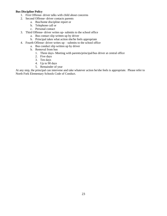#### **Bus Discipline Policy**

- 1. First Offense- driver talks with child about concerns
- 2. Second Offense- driver contacts parents
	- a. Bus/home discipline report or
	- b. Telephone call or
	- c. Personal contact
- 3. Third Offense- driver writes up- submits to the school office
	- a. Bus contact slip written up by driver
	- b. Principal takes what action she/he feels appropriate
- 4. Fourth Offense- driver writes up submits to the school office
	- a. Bus conduct slip written up by driver
	- b. Removal from bus
		- 1. Three days- Meeting with parents/principal/bus driver at central office
		- 2. Five days
		- 3. Ten days
		- 4. Up to 90 days
		- 5. Remainder of year

At any step, the principal can intervene and take whatever action he/she feels is appropriate. Please refer to North Fork Elementary Schools Code of Conduct.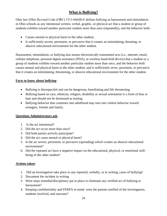# **What is Bullying?**

Ohio law (Ohio Revised Code (ORC) 3313.666(B)  $\epsilon$  defines bullying as harassment and intimidation in Ohio schools as any intentional written, verbal, graphic, or physical act that a student or group of students exhibits toward another particular student more than once (repeatedly), and the behavior both:

- Causes mental or physical harm to the other student;
- Is sufficiently severe, persistent, or pervasive that it creates an intimidating, threating, or abusive educational environment for the other student.

Harassment, intimidation, or bullying also means electronically transmitted acts (i.e., internet, email, cellular telephone, personal digital assistance (PDA), or wireless hand-held device) that a student or a group of students exhibits toward another particular student more than once, and the behavior both causes mental and physical harm to the other student, and is sufficiently sever, persistent, or pervasive that it creates an intimidating, threatening, or abusive educational environment for the other student.

### **Facts to know about bullying**:

- Bullying is disrespectful and can be dangerous, humiliating and life threatening.
- Bullying based on race, ethnicity, religion, disability or sexual orientation is a form of bias or hate and should not be dismissed as teasing.
- Bullying behavior that continues into adulthood may turn into violent behavior toward strangers, friends and family.

#### **Questions Administrators ask**:

- 1. Is the act intentional?
- 2. Did the act occur more than once?
- 3. Did both parties actively participate?
- 4. Did the act cause mental or physical harm?
- 5. Is the act severe, persistent, or pervasive (spreading) which creates an abusive educational environment?
- 6. Did the repeated act have a negative impact on the educational, physical, or emotional wellbeing of the other student?

#### **Actions taken**:

- 1. Did an investigation take place to any reported, verbally, or in writing, cases of bullying?
- 2. Document the incident in writing
- 3. Were steps remedial/disciplinary put in place to eliminate any verified act of bullying or harassment?
- 4. Keeping confidentiality and FERPA in mind- were the parents notified of the investigation, students involved, and outcome?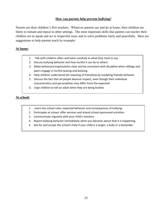#### **How can parents help prevent bullying?**

Parents are their children's first teachers. Whatever parents say and do at home, their children are likely to imitate and repeat in other settings. The most important skills that parents can teacher their children are to speak and act in respectful ways and to solve problems fairly and peacefully. Here are suggestions to help parents teach by example:

#### **At home:**

- 1. Talk with children often and listen carefully to what they have to say.
- 2. Discuss bullying behavior and how hurtful it can be to others.
- 3. Make behavioral expectations clear and be consistent with discipline when siblings and peers engage in hurtful teasing and bullying.
- 4. Help children understand the meaning of friendship by modeling friendly behavior.
- 5. Discuss the fact that all people deserve respect, even though their individual characteristics and personalities may differ from the expected.
- 6. Urge children to tell an adult when they are being bullied.

#### **At school:**

- 1. Learn the school rules, expected behavior and consequences of bullying.
- 2. Participate at school, offer services and attend school-sponsored activities.
- 3. Communicate regularly with your child's teachers.
- 4. Report bullying behavior immediately when you become aware that it is happening.
- 5. Ask for and accept the school's help if your child is a target, a bully or a bystander.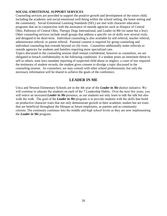#### **SOCIAL-EMOTIONAL SUPPORT SERVICES**

Counseling services are provided to support the positive growth and development of the entire child, including the academic and social-emotional well-being within the school setting, the home setting and the community. Social-Emotional Learning Standards (SEL) are met with character education programs that an in conjunction with the assistance of outside agencies such as Hospice of Central Ohio, Pathways of Central Ohio, Therapy Dogs International, and Leader-in-Me (to name but a few). Other counseling services include small groups that address a specific set of skills over several visits and designed to be short-term. Individual counseling is also available by self-referral, teacher referral, administrator referral, or parent referral. Parental consent is required for group counseling and individual counseling that extends beyond six (6) visits. Counselors additionally make referrals to outside agencies for students and families requiring more specialized care.

Topics discussed in the counseling session shall remain confidential, however as counselors, we are obligated to breach confidentiality in the following conditions: if a student poses an imminent threat to self or others; state laws mandate reporting of suspected child abuse or neglect; a court of law required the testimony of student records; the student gives consent to divulge a topic discussed in the counseling session. As counselors, we may consult with other school professionals, but only the necessary information will be shared to achieve the goals of the conference.

# **LEADER IN ME**

Utica and Newton Elementary Schools are in the 4th year of the *Leader in Me* district initiative. We will continue to educate the students on each of the 7 Leadership Habits.  Over the next few years, you will notice an increased *Leader in Me* presence, as our students not only learn to talk the talk but also walk the walk.  The goal of the *Leader in Me* program is to provide students with the skills that build on productive character traits that not only demonstrate growth in their academic studies but are traits that are beneficial throughout the lifespan as future employees, as parents and as community citizens. The continuity continues into the middle and high school levels as they are now implementing the *Leader in Me* program.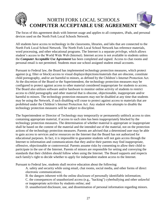

The focus of this agreement deals with Internet usage and applies to all computers, iPads, and personal devices used on the North Fork Local Schools Network.

All students have access to technology in the classrooms, libraries, and labs that are connected to the North Fork Local School Network. The North Fork Local School Network has reference materials, word processing, and other educational programs. The Internet is a separate *privilege*, which allows student's access to the World Wide Web (Internet). Internet access is not available to students unless the *Computer Acceptable Use Agreement* has been completed and signed. Access to chat rooms and personal email is not permitted. Students must use school assigned student email accounts.

Pursuant to Federal law, the Board has implemented technology protection measures, which protect against (e.g. filter or block) access to visual displays/depictions/materials that are obscene, constitute child pornography, and/or are harmful to minors, as defined by the Children's Internet Protection Act. At the discretion of the Board or the Superintendent, the technology protection measures may be configured to protect against access to other material considered inappropriate for students to access. The Board also utilizes software and/or hardware to monitor online activity of students to restrict access to child pornography and other material that is obscene, objectionable, inappropriate and/or harmful to minors. The technology protection measures may not be disabled at any time that students may be using the Network, if such disabling will cease to protect against access to materials that are prohibited under the Children's Internet Protection Act. Any student who attempts to disable the technology protection measures will be subject to discipline.

The Superintendent or Director of Technology may temporarily or permanently unblock access to sites containing appropriate material, if access to such sites has been inappropriately blocked by the technology protection measures. The determination of whether material is appropriate or inappropriate shall be based on the content of the material and the intended use of the material, not on the protection actions of the technology protection measures. Parents are advised that a determined user may be able to gain access to services and/or resources on the Internet that the Board has not authorized for educational purposes. In fact, it is impossible to guarantee students will not gain access through the Internet to information and communications that they and/or their parents may find inappropriate, offensive, objectionable or controversial. Parents assume risks by consenting to allow their child to participate in the use of the Internet. Parents of minors are responsible for setting and conveying the standards that their children should follow when using the Internet. The Board supports and respects each family's right to decide whether to apply for independent student access to the Internet.

Pursuant to Federal law, students shall receive education about the following:

A. safety and security while using email, chat rooms, social media, and other forms of direct electronic communications;

B. the dangers inherent with the online disclosure of personally identifiable information;

C. the consequences of unauthorized access (e.g., "hacking") cyberbullying and other unlawful or inappropriate activities by students online; and

D. unauthorized disclosure, use, and dissemination of personal information regarding minors.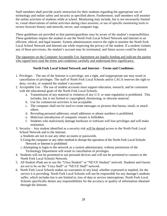Staff members shall provide yearly instruction for their students regarding the appropriate use of technology and online safety and security as specified above. Furthermore, staff members will monitor the online activities of students while at school. Monitoring may include, but is not necessarily limited to, visual observations of online activities during class sessions; or use of specific monitoring tools to review browser history and network, server, and computer logs.

These guidelines are provided so that parents/guardians may be aware of the student's responsibilities. These guidelines require the student to use the North Fork Local School Network and Internet in an efficient, ethical, and legal manner. System administrators reserve the right to monitor the North Fork Local School Network and Internet use while respecting the privacy of the student. If a student violates any of these provisions, the student's account may be terminated, and future access could be denied.

The signatures on the Computer Acceptable Use Agreement are legally binding and indicate the parties who signed have read the terms and conditions carefully and understand their significance.

#### **North Fork Local School Network and Internet – Terms and Conditions**

- 1. Privileges The use of the Internet is a privilege, not a right, and inappropriate use may result in cancellation of privileges. The staff of North Fork Local Schools and/or LACA reserves the right to deny, revoke, or suspend the student's accounts.
- 2. Acceptable Use The use of student accounts must support education, research, and be consistent with the educational goals of the North Fork Local Schools.
	- a. Transmission of any material in violation of any U.S. or state regulation is prohibited. This includes, but is not limited to copyrighted, threatening, or obscene material.
	- b. Use for commercial activities is not acceptable.
	- c. The computer shall not be used to create messages or pictures that harass, insult, or attack others.
	- d. Revealing personal addresses, email addresses or phone numbers is prohibited.
	- e. Malicious introduction of computer viruses is forbidden.
	- f. Students who maliciously damage hardware or software will lose privileges and will make restitution.
- 3. Security Any student identified as a security risk will be denied access to the North Fork Local School Network and to the Internet.

a.Students are not to use any other accounts or passwords.

- b.Using the computer or any other method to disrupt the operation of the North Fork Local Schools Network or Internet is prohibited.
- c.Attempting to login to the network as a system administrator, without permission of the Technology Department will result in cancellation of privileges.
- 4. Students will not be permitted to use personal devices and will not be permitted to connect to the North Fork Local Schools Network.
- 5. All Student iPads are to use the "Utica Student" or "NE/UE Student" network. Students and Guests are not to be on the "Utica Staff" or "NE/UE Staff" network.
- 6. North Fork Local Schools makes no warranties of any kind, whether expressed or implied, for the service it is providing. North Fork Local Schools will not be responsible for any damage's students suffer, which includes but is not limited to, loss of data or service interruptions. North Fork Local Schools specifically denies any responsibilities for the accuracy or quality of information obtained through the Internet.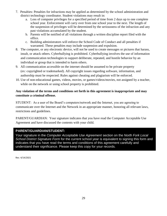- 7. Penalties: Penalties for infractions may be applied as determined by the school administration and district technology coordinator. Student violations may result in:
	- a. Loss of computer privileges for a specified period of time from 2 days up to one complete school year. Enforcement will carry over from one school year to the next. The length of the suspension of privileges will be determined by the seriousness of the infraction and any past violations accumulated by the student.
	- b. Parents will be notified of all violations through a written discipline report filed with the office.
	- c. Building administrators will enforce the School Code of Conduct and all penalties if warranted. These penalties may include suspension and expulsion.
- 8. The computer, or any electronic device, will not be used to create messages or pictures that harass, insult, or attack others. Cyberbullying is prohibited. Cyberbullying involves the use of information and communication technologies to support deliberate, repeated, and hostile behavior by an individual or group that is intended to harm others.
- 9. All communication accessible on the internet should be assumed to be private property (ex: copyrighted or trademarked). All copyright issues regarding software, information, and authorship must be respected. Rules against cheating and plagiarism will be enforced.
- 10. Use of non-educational games, videos, movies, or games/videos/movies, not assigned by a teacher, while on the network or using school property is prohibited.

### **Any violation of the terms and conditions set forth in this agreement is inappropriate and may constitute a criminal offense.**

STUDENT: As a user of the Board's computers/network and the Internet, you are agreeing to communicate over the Internet and the Network in an appropriate manner, honoring all relevant laws, restrictions and guidelines.

PARENT/GUARDIAN: Your signature indicates that you have read the Computer Acceptable Use Agreement and have discussed the contents with your child.

# **PARENT/GUARDIAN/STUDENT:**

Your signature in the *Computer Acceptable Use Agreement* section on the *North Fork Local School District Signature Form* for the current school year is equivalent to signing this form and indicates that you have read the terms and conditions of this agreement carefully and understand their significance. Please keep this copy for your records.

Rev. 4/14/2021